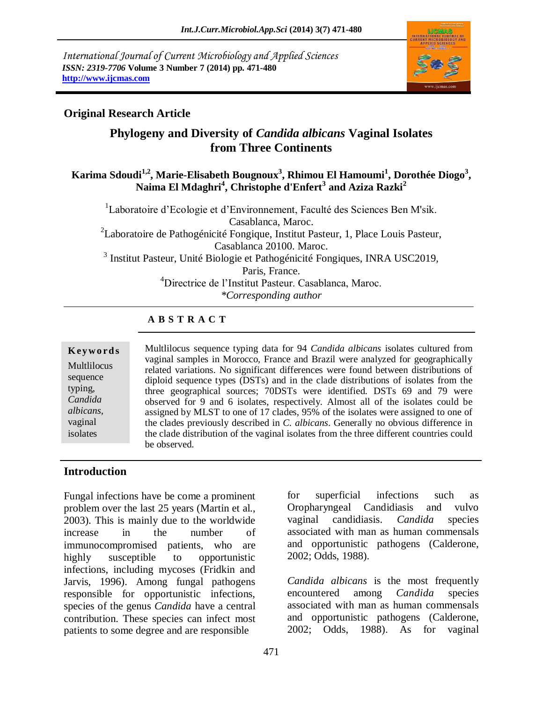*International Journal of Current Microbiology and Applied Sciences ISSN: 2319-7706* **Volume 3 Number 7 (2014) pp. 471-480 http://www.ijcmas.com** 



# **Original Research Article**

# **Phylogeny and Diversity of** *Candida albicans* **Vaginal Isolates from Three Continents**

### **Karima Sdoudi1,2, Marie-Elisabeth Bougnoux<sup>3</sup> , Rhimou El Hamoumi<sup>1</sup> , Dorothée Diogo<sup>3</sup> , Naima El Mdaghri<sup>4</sup> , Christophe d'Enfert<sup>3</sup> and Aziza Razki<sup>2</sup>**

<sup>1</sup>Laboratoire d'Ecologie et d'Environnement, Faculté des Sciences Ben M'sik. Casablanca, Maroc. <sup>2</sup>Laboratoire de Pathogénicité Fongique, Institut Pasteur, 1, Place Louis Pasteur, Casablanca 20100. Maroc. <sup>3</sup> Institut Pasteur, Unité Biologie et Pathogénicité Fongiques, INRA USC2019, Paris, France. <sup>4</sup>Directrice de l'Institut Pasteur. Casablanca, Maroc. *\*Corresponding author* 

### **A B S T R A C T**

#### **K ey w o rd s** Multlilocus sequence typing, *Candida albicans,* vaginal isolates

Multlilocus sequence typing data for 94 *Candida albicans* isolates cultured from vaginal samples in Morocco, France and Brazil were analyzed for geographically related variations. No significant differences were found between distributions of diploid sequence types (DSTs) and in the clade distributions of isolates from the three geographical sources; 70DSTs were identified. DSTs 69 and 79 were observed for 9 and 6 isolates, respectively. Almost all of the isolates could be assigned by MLST to one of 17 clades, 95% of the isolates were assigned to one of the clades previously described in *C. albicans*. Generally no obvious difference in the clade distribution of the vaginal isolates from the three different countries could be observed.

### **Introduction**

Fungal infections have be come a prominent problem over the last 25 years (Martin et al., 2003). This is mainly due to the worldwide increase in the number of immunocompromised patients, who are highly susceptible to opportunistic infections, including mycoses (Fridkin and Jarvis, 1996). Among fungal pathogens responsible for opportunistic infections, species of the genus *Candida* have a central contribution. These species can infect most patients to some degree and are responsible

for superficial infections such as Oropharyngeal Candidiasis and vulvo vaginal candidiasis. *Candida* species associated with man as human commensals and opportunistic pathogens (Calderone, 2002; Odds, 1988).

*Candida albicans* is the most frequently encountered among *Candida* species associated with man as human commensals and opportunistic pathogens (Calderone, 2002; Odds, 1988). As for vaginal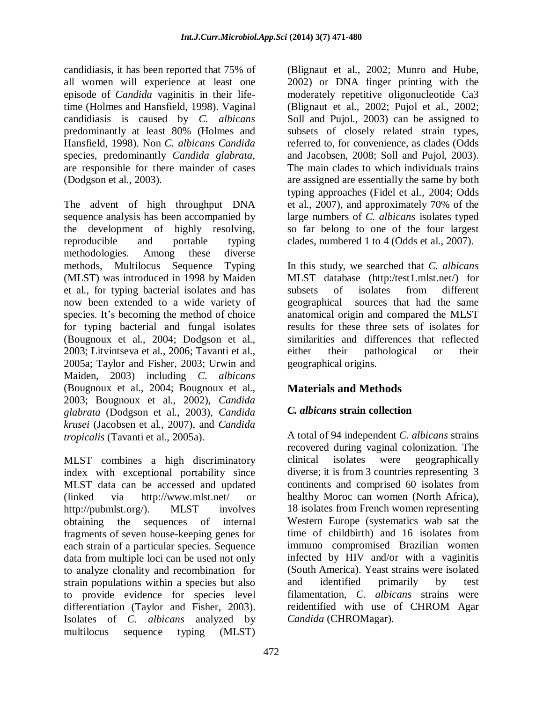candidiasis, it has been reported that 75% of all women will experience at least one episode of *Candida* vaginitis in their lifetime (Holmes and Hansfield, 1998). Vaginal candidiasis is caused by *C. albicans* predominantly at least 80% (Holmes and Hansfield, 1998). Non *C. albicans Candida* species, predominantly *Candida glabrata*, are responsible for there mainder of cases (Dodgson et al., 2003).

The advent of high throughput DNA sequence analysis has been accompanied by the development of highly resolving, reproducible and portable typing methodologies. Among these diverse methods, Multilocus Sequence Typing (MLST) was introduced in 1998 by Maiden et al., for typing bacterial isolates and has now been extended to a wide variety of species. It's becoming the method of choice for typing bacterial and fungal isolates (Bougnoux et al., 2004; Dodgson et al., 2003; Litvintseva et al., 2006; Tavanti et al., 2005a; Taylor and Fisher, 2003; Urwin and Maiden, 2003) including *C. albicans* (Bougnoux et al., 2004; Bougnoux et al., 2003; Bougnoux et al., 2002), *Candida glabrata* (Dodgson et al., 2003), *Candida krusei* (Jacobsen et al., 2007), and *Candida tropicalis* (Tavanti et al., 2005a).

MLST combines a high discriminatory index with exceptional portability since MLST data can be accessed and updated (linked via [http://www.mlst.net/ or](http://www.mlst.net/)  http://pubmlst.org/). MLST involves obtaining the sequences of internal fragments of seven house-keeping genes for each strain of a particular species. Sequence data from multiple loci can be used not only to analyze clonality and recombination for strain populations within a species but also to provide evidence for species level differentiation (Taylor and Fisher, 2003). Isolates of *C. albicans* analyzed by multilocus sequence typing (MLST)

(Blignaut et al., 2002; Munro and Hube, 2002) or DNA finger printing with the moderately repetitive oligonucleotide Ca3 (Blignaut et al., 2002; Pujol et al., 2002; Soll and Pujol., 2003) can be assigned to subsets of closely related strain types, referred to, for convenience, as clades (Odds and Jacobsen, 2008; Soll and Pujol, 2003). The main clades to which individuals trains are assigned are essentially the same by both typing approaches (Fidel et al., 2004; Odds et al., 2007), and approximately 70% of the large numbers of *C. albicans* isolates typed so far belong to one of the four largest clades, numbered 1 to 4 (Odds et al., 2007).

In this study, we searched that *C. albicans* MLST database (http:/test1.mlst.net/) for subsets of isolates from different geographical sources that had the same anatomical origin and compared the MLST results for these three sets of isolates for similarities and differences that reflected either their pathological or their geographical origins.

# **Materials and Methods**

# *C. albicans* **strain collection**

A total of 94 independent *C. albicans* strains recovered during vaginal colonization. The clinical isolates were geographically diverse; it is from 3 countries representing 3 continents and comprised 60 isolates from healthy Moroc can women (North Africa), 18 isolates from French women representing Western Europe (systematics wab sat the time of childbirth) and 16 isolates from immuno compromised Brazilian women infected by HIV and/or with a vaginitis (South America). Yeast strains were isolated and identified primarily by test filamentation, *C. albicans* strains were reidentified with use of CHROM Agar *Candida* (CHROMagar).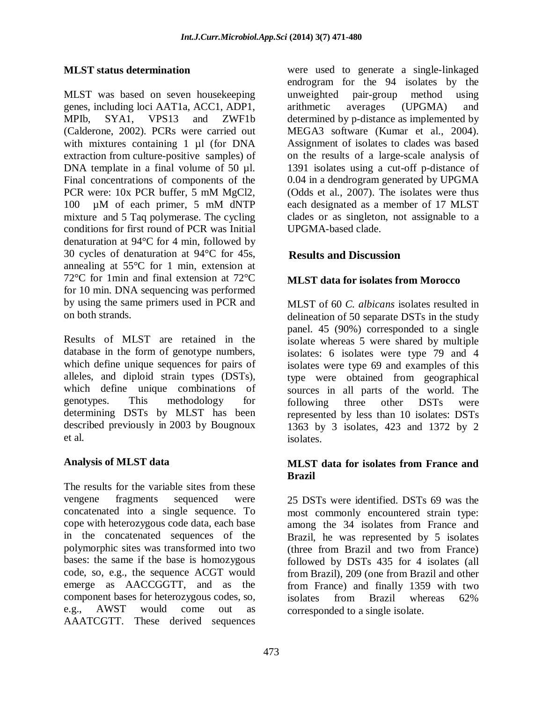### **MLST status determination**

MLST was based on seven housekeeping genes, including loci AAT1a, ACC1, ADP1, MPIb, SYA1, VPS13 and ZWF1b (Calderone, 2002). PCRs were carried out with mixtures containing 1 µl (for DNA extraction from culture-positive samples) of DNA template in a final volume of 50 µl. Final concentrations of components of the PCR were: 10x PCR buffer, 5 mM MgCl2, 100 µM of each primer, 5 mM dNTP mixture and 5 Taq polymerase. The cycling conditions for first round of PCR was Initial denaturation at 94°C for 4 min, followed by 30 cycles of denaturation at 94°C for 45s, annealing at 55°C for 1 min, extension at 72°C for 1min and final extension at 72°C for 10 min. DNA sequencing was performed by using the same primers used in PCR and on both strands.

Results of MLST are retained in the database in the form of genotype numbers, which define unique sequences for pairs of alleles, and diploid strain types (DSTs), which define unique combinations of genotypes. This methodology for determining DSTs by MLST has been described previously in 2003 by Bougnoux et al.

#### **Analysis of MLST data**

The results for the variable sites from these vengene fragments sequenced were concatenated into a single sequence. To cope with heterozygous code data, each base in the concatenated sequences of the polymorphic sites was transformed into two bases: the same if the base is homozygous code, so, e.g., the sequence ACGT would emerge as AACCGGTT, and as the component bases for heterozygous codes, so, e.g., AWST would come out as AAATCGTT. These derived sequences

were used to generate a single-linkaged endrogram for the 94 isolates by the unweighted pair-group method using arithmetic averages (UPGMA) and determined by p-distance as implemented by MEGA3 software (Kumar et al., 2004). Assignment of isolates to clades was based on the results of a large-scale analysis of 1391 isolates using a cut-off p-distance of 0.04 in a dendrogram generated by UPGMA (Odds et al., 2007). The isolates were thus each designated as a member of 17 MLST clades or as singleton, not assignable to a UPGMA-based clade.

# **Results and Discussion**

### **MLST data for isolates from Morocco**

MLST of 60 *C. albicans* isolates resulted in delineation of 50 separate DSTs in the study panel. 45 (90%) corresponded to a single isolate whereas 5 were shared by multiple isolates: 6 isolates were type 79 and 4 isolates were type 69 and examples of this type were obtained from geographical sources in all parts of the world. The following three other DSTs were represented by less than 10 isolates: DSTs 1363 by 3 isolates, 423 and 1372 by 2 isolates.

#### **MLST data for isolates from France and Brazil**

25 DSTs were identified. DSTs 69 was the most commonly encountered strain type: among the 34 isolates from France and Brazil, he was represented by 5 isolates (three from Brazil and two from France) followed by DSTs 435 for 4 isolates (all from Brazil), 209 (one from Brazil and other from France) and finally 1359 with two isolates from Brazil whereas 62% corresponded to a single isolate.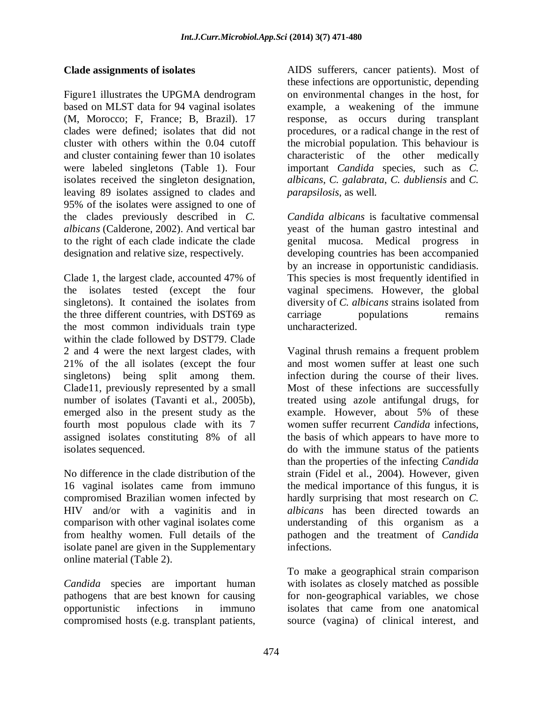#### **Clade assignments of isolates**

Figure1 illustrates the UPGMA dendrogram based on MLST data for 94 vaginal isolates (M, Morocco; F, France; B, Brazil). 17 clades were defined; isolates that did not cluster with others within the 0.04 cutoff and cluster containing fewer than 10 isolates were labeled singletons (Table 1). Four isolates received the singleton designation, leaving 89 isolates assigned to clades and 95% of the isolates were assigned to one of the clades previously described in *C. albicans* (Calderone, 2002). And vertical bar to the right of each clade indicate the clade designation and relative size, respectively.

Clade 1, the largest clade, accounted 47% of the isolates tested (except the four singletons). It contained the isolates from the three different countries, with DST69 as the most common individuals train type within the clade followed by DST79. Clade 2 and 4 were the next largest clades, with 21% of the all isolates (except the four singletons) being split among them. Clade11, previously represented by a small number of isolates (Tavanti et al., 2005b), emerged also in the present study as the fourth most populous clade with its 7 assigned isolates constituting 8% of all isolates sequenced.

No difference in the clade distribution of the 16 vaginal isolates came from immuno compromised Brazilian women infected by HIV and/or with a vaginitis and in comparison with other vaginal isolates come from healthy women. Full details of the isolate panel are given in the Supplementary online material (Table 2).

*Candida* species are important human pathogens that are best known for causing opportunistic infections in immuno compromised hosts (e.g. transplant patients,

AIDS sufferers, cancer patients). Most of these infections are opportunistic, depending on environmental changes in the host, for example, a weakening of the immune response, as occurs during transplant procedures, or a radical change in the rest of the microbial population. This behaviour is characteristic of the other medically important *Candida* species, such as *C. albicans*, *C. galabrata*, *C. dubliensis* and *C. parapsilosis*, as well.

*Candida albicans* is facultative commensal yeast of the human gastro intestinal and genital mucosa. Medical progress in developing countries has been accompanied by an increase in opportunistic candidiasis. This species is most frequently identified in vaginal specimens. However, the global diversity of *C. albicans* strains isolated from carriage populations remains uncharacterized.

Vaginal thrush remains a frequent problem and most women suffer at least one such infection during the course of their lives. Most of these infections are successfully treated using azole antifungal drugs, for example. However, about 5% of these women suffer recurrent *Candida* infections, the basis of which appears to have more to do with the immune status of the patients than the properties of the infecting *Candida* strain (Fidel et al., 2004). However, given the medical importance of this fungus, it is hardly surprising that most research on *C. albicans* has been directed towards an understanding of this organism as a pathogen and the treatment of *Candida* infections.

To make a geographical strain comparison with isolates as closely matched as possible for non-geographical variables, we chose isolates that came from one anatomical source (vagina) of clinical interest, and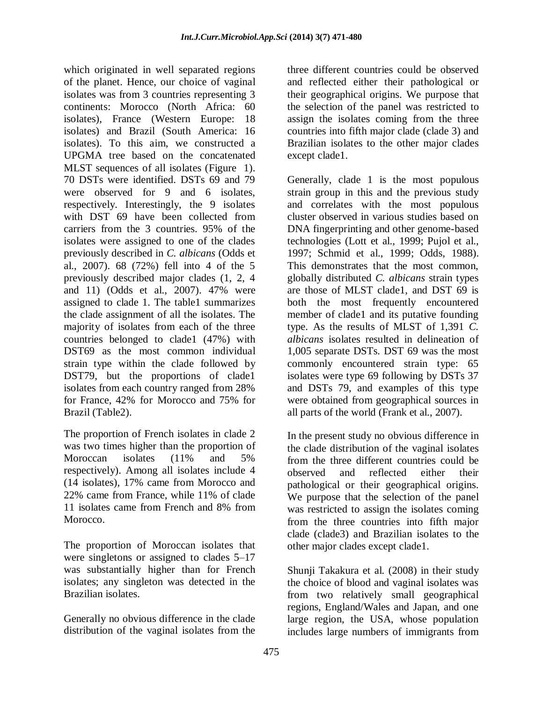which originated in well separated regions of the planet. Hence, our choice of vaginal isolates was from 3 countries representing 3 continents: Morocco (North Africa: 60 isolates), France (Western Europe: 18 isolates) and Brazil (South America: 16 isolates). To this aim, we constructed a UPGMA tree based on the concatenated MLST sequences of all isolates (Figure 1). 70 DSTs were identified. DSTs 69 and 79 were observed for 9 and 6 isolates, respectively. Interestingly, the 9 isolates with DST 69 have been collected from carriers from the 3 countries. 95% of the isolates were assigned to one of the clades previously described in *C. albicans* (Odds et al., 2007). 68 (72%) fell into 4 of the 5 previously described major clades (1, 2, 4 and 11) (Odds et al., 2007). 47% were assigned to clade 1. The table1 summarizes the clade assignment of all the isolates. The majority of isolates from each of the three countries belonged to clade1 (47%) with DST69 as the most common individual strain type within the clade followed by DST79, but the proportions of clade1 isolates from each country ranged from 28% for France, 42% for Morocco and 75% for Brazil (Table2).

The proportion of French isolates in clade 2 was two times higher than the proportion of Moroccan isolates (11% and 5% respectively). Among all isolates include 4 (14 isolates), 17% came from Morocco and 22% came from France, while 11% of clade 11 isolates came from French and 8% from Morocco.

The proportion of Moroccan isolates that were singletons or assigned to clades 5–17 was substantially higher than for French isolates; any singleton was detected in the Brazilian isolates.

Generally no obvious difference in the clade distribution of the vaginal isolates from the

three different countries could be observed and reflected either their pathological or their geographical origins. We purpose that the selection of the panel was restricted to assign the isolates coming from the three countries into fifth major clade (clade 3) and Brazilian isolates to the other major clades except clade1.

Generally, clade 1 is the most populous strain group in this and the previous study and correlates with the most populous cluster observed in various studies based on DNA fingerprinting and other genome-based technologies (Lott et al., 1999; Pujol et al., 1997; Schmid et al., 1999; Odds, 1988). This demonstrates that the most common, globally distributed *C. albicans* strain types are those of MLST clade1, and DST 69 is both the most frequently encountered member of clade1 and its putative founding type. As the results of MLST of 1,391 *C. albicans* isolates resulted in delineation of 1,005 separate DSTs. DST 69 was the most commonly encountered strain type: 65 isolates were type 69 following by DSTs 37 and DSTs 79, and examples of this type were obtained from geographical sources in all parts of the world (Frank et al., 2007).

In the present study no obvious difference in the clade distribution of the vaginal isolates from the three different countries could be observed and reflected either their pathological or their geographical origins. We purpose that the selection of the panel was restricted to assign the isolates coming from the three countries into fifth major clade (clade3) and Brazilian isolates to the other major clades except clade1.

Shunji Takakura et al. (2008) in their study the choice of blood and vaginal isolates was from two relatively small geographical regions, England/Wales and Japan, and one large region, the USA, whose population includes large numbers of immigrants from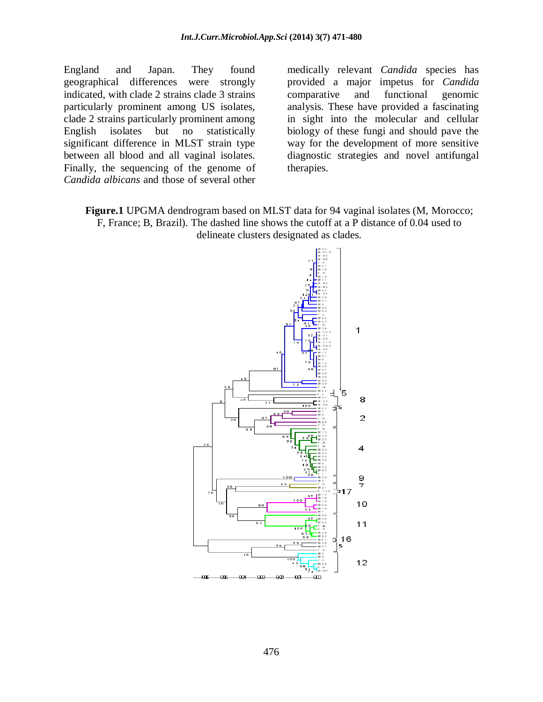England and Japan. They found geographical differences were strongly indicated, with clade 2 strains clade 3 strains particularly prominent among US isolates, clade 2 strains particularly prominent among English isolates but no statistically significant difference in MLST strain type between all blood and all vaginal isolates. Finally, the sequencing of the genome of *Candida albicans* and those of several other

medically relevant *Candida* species has provided a major impetus for *Candida* comparative and functional genomic analysis. These have provided a fascinating in sight into the molecular and cellular biology of these fungi and should pave the way for the development of more sensitive diagnostic strategies and novel antifungal therapies.

**Figure.1** UPGMA dendrogram based on MLST data for 94 vaginal isolates (M, Morocco; F, France; B, Brazil). The dashed line shows the cutoff at a P distance of 0.04 used to delineate clusters designated as clades.

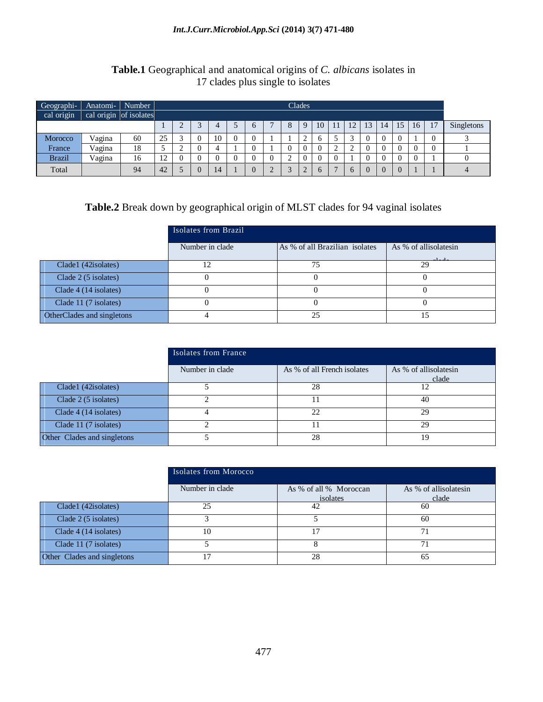#### *Int.J.Curr.Microbiol.App.Sci* **(2014) 3(7) 471-480**

### **Table.1** Geographical and anatomical origins of *C. albicans* isolates in 17 clades plus single to isolates

| Geographi-<br>cal origin | Anatomi-<br>cal origin of isolates | Number |    | Clades         |  |    |  |              |  |  |                |    |    |          |    |    |    |                |    |            |
|--------------------------|------------------------------------|--------|----|----------------|--|----|--|--------------|--|--|----------------|----|----|----------|----|----|----|----------------|----|------------|
|                          |                                    |        |    | $\bigcap$<br>∠ |  | 4  |  | <sub>b</sub> |  |  | 9              | 10 | 11 | 12       | 13 | 14 | 15 | 16             | 17 | Singletons |
| Morocco                  | Vagina                             | 60     | 25 |                |  | 10 |  |              |  |  | $\bigcap$<br>∼ |    |    |          |    |    |    |                |    |            |
| France                   | Vagina                             | 18     |    | $\sim$<br>∽    |  | 4  |  |              |  |  | $\theta$       |    | ∼  |          |    |    |    | $\theta$       |    |            |
| <b>Brazil</b>            | Vagina                             | 16     | 12 |                |  |    |  |              |  |  | $\theta$       |    |    |          |    |    |    | $\overline{0}$ |    |            |
| Total                    |                                    | 94     | 42 |                |  | 14 |  |              |  |  | w              |    |    | $\sigma$ |    |    |    |                |    |            |

# **Table.2** Break down by geographical origin of MLST clades for 94 vaginal isolates

|                            | Isolates from Brazil |                                |                       |  |  |  |  |
|----------------------------|----------------------|--------------------------------|-----------------------|--|--|--|--|
|                            | Number in clade      | As % of all Brazilian isolates | As % of allisolatesin |  |  |  |  |
| Clade1 (42isolates)        |                      | 75                             | 29                    |  |  |  |  |
| Clade 2 (5 isolates)       |                      |                                |                       |  |  |  |  |
| Clade 4 (14 isolates)      |                      |                                |                       |  |  |  |  |
| Clade 11 (7 isolates)      |                      |                                |                       |  |  |  |  |
| OtherClades and singletons |                      | 25                             | ۱۲,                   |  |  |  |  |

|                             | Isolates from France |                             |                                |  |  |  |  |  |
|-----------------------------|----------------------|-----------------------------|--------------------------------|--|--|--|--|--|
|                             | Number in clade      | As % of all French isolates | As % of allisolatesin<br>clade |  |  |  |  |  |
| Clade1 (42isolates)         |                      | 28                          | 12                             |  |  |  |  |  |
| Clade 2 (5 isolates)        |                      |                             | 40                             |  |  |  |  |  |
| Clade 4 (14 isolates)       |                      | 22                          | 29                             |  |  |  |  |  |
| Clade 11 (7 isolates)       |                      |                             | 29                             |  |  |  |  |  |
| Other Clades and singletons |                      | 28                          | 19                             |  |  |  |  |  |

|                             | Isolates from Morocco |                                    |                                |  |  |  |  |
|-----------------------------|-----------------------|------------------------------------|--------------------------------|--|--|--|--|
|                             | Number in clade       | As % of all % Moroccan<br>isolates | As % of allisolatesin<br>clade |  |  |  |  |
| Clade1 (42isolates)         | 25                    | 42                                 | 60                             |  |  |  |  |
| Clade 2 (5 isolates)        |                       |                                    | 60                             |  |  |  |  |
| Clade 4 (14 isolates)       | 10                    | 17                                 | 71                             |  |  |  |  |
| Clade 11 (7 isolates)       |                       |                                    | 71                             |  |  |  |  |
| Other Clades and singletons |                       | 28                                 | 65                             |  |  |  |  |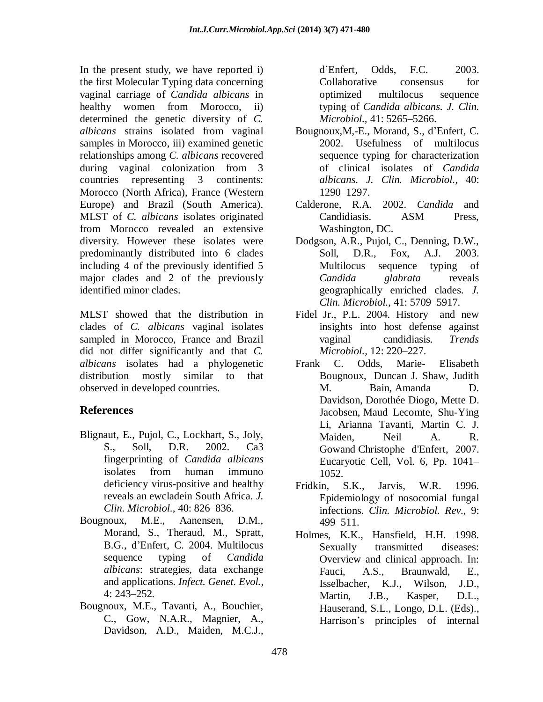In the present study, we have reported i) the first Molecular Typing data concerning vaginal carriage of *Candida albicans* in healthy women from Morocco, ii) determined the genetic diversity of *C. albicans* strains isolated from vaginal samples in Morocco, iii) examined genetic relationships among *C. albicans* recovered during vaginal colonization from 3 countries representing 3 continents: Morocco (North Africa), France (Western Europe) and Brazil (South America). MLST of *C. albicans* isolates originated from Morocco revealed an extensive diversity. However these isolates were predominantly distributed into 6 clades including 4 of the previously identified 5 major clades and 2 of the previously identified minor clades.

MLST showed that the distribution in clades of *C. albicans* vaginal isolates sampled in Morocco, France and Brazil did not differ significantly and that *C. albicans* isolates had a phylogenetic distribution mostly similar to that observed in developed countries.

# **References**

- Blignaut, E., Pujol, C., Lockhart, S., Joly, S., Soll, D.R. 2002. Ca3 fingerprinting of *Candida albicans* isolates from human immuno deficiency virus-positive and healthy reveals an ewcladein South Africa. *J. Clin. Microbiol.,* 40: 826–836.
- Bougnoux, M.E., Aanensen, D.M., Morand, S., Theraud, M., Spratt, B.G., d'Enfert, C. 2004. Multilocus sequence typing of *Candida albicans*: strategies, data exchange and applications. *Infect. Genet. Evol.,*  4: 243–252.
- Bougnoux, M.E., Tavanti, A., Bouchier, C., Gow, N.A.R., Magnier, A., Davidson, A.D., Maiden, M.C.J.,

d'Enfert, Odds, F.C. 2003. Collaborative consensus for optimized multilocus sequence typing of *Candida albicans*. *J. Clin. Microbiol.,* 41: 5265–5266.

- Bougnoux,M,-E., Morand, S., d'Enfert, C. 2002. Usefulness of multilocus sequence typing for characterization of clinical isolates of *Candida albicans*. *J. Clin. Microbiol.,* 40: 1290–1297.
- Calderone, R.A. 2002. *Candida* and Candidiasis. ASM Press, Washington, DC.
- Dodgson, A.R., Pujol, C., Denning, D.W., Soll, D.R., Fox, A.J. 2003. Multilocus sequence typing of *Candida glabrata* reveals geographically enriched clades. *J. Clin. Microbiol.,* 41: 5709–5917.
- Fidel Jr., P.L. 2004. History and new insights into host defense against vaginal candidiasis. *Trends Microbiol.,* 12: 220–227.
- [Frank](http://ec.asm.org/search?author1=Frank+C.+Odds&sortspec=date&submit=Submit) C. Odds, Marie- [Elisabeth](http://ec.asm.org/search?author1=Marie-Elisabeth+Bougnoux&sortspec=date&submit=Submit) [Bougnoux,](http://ec.asm.org/search?author1=Marie-Elisabeth+Bougnoux&sortspec=date&submit=Submit) [Duncan](http://ec.asm.org/search?author1=Duncan+J.+Shaw&sortspec=date&submit=Submit) J. Shaw, [Judith](http://ec.asm.org/search?author1=Judith+M.+Bain&sortspec=date&submit=Submit) M. [Bain,](http://ec.asm.org/search?author1=Judith+M.+Bain&sortspec=date&submit=Submit) [Amanda](http://ec.asm.org/search?author1=Amanda+D.+Davidson&sortspec=date&submit=Submit) D. [Davidson,](http://ec.asm.org/search?author1=Amanda+D.+Davidson&sortspec=date&submit=Submit) [Dorothée](http://ec.asm.org/search?author1=Doroth%C3%A9e+Diogo&sortspec=date&submit=Submit) Diogo, [Mette](http://ec.asm.org/search?author1=Mette+D.+Jacobsen&sortspec=date&submit=Submit) D. [Jacobsen,](http://ec.asm.org/search?author1=Mette+D.+Jacobsen&sortspec=date&submit=Submit) Maud [Lecomte,](http://ec.asm.org/search?author1=Maud+Lecomte&sortspec=date&submit=Submit) [Shu-Ying](http://ec.asm.org/search?author1=Shu-Ying+Li&sortspec=date&submit=Submit) [Li,](http://ec.asm.org/search?author1=Shu-Ying+Li&sortspec=date&submit=Submit) Arianna [Tavanti,](http://ec.asm.org/search?author1=Arianna+Tavanti&sortspec=date&submit=Submit) [Martin](http://ec.asm.org/search?author1=Martin+C.+J.+Maiden&sortspec=date&submit=Submit) C. J. [Maiden,](http://ec.asm.org/search?author1=Martin+C.+J.+Maiden&sortspec=date&submit=Submit) [Neil](http://ec.asm.org/search?author1=Neil+A.+R.+Gow&sortspec=date&submit=Submit) A. R. [Gowa](http://ec.asm.org/search?author1=Neil+A.+R.+Gow&sortspec=date&submit=Submit)nd [Christophe](http://ec.asm.org/search?author1=Christophe+d) d'Enfert, 2007. Eucaryotic Cell, Vol. 6, Pp. 1041– 1052.
- Fridkin, S.K., Jarvis, W.R. 1996. Epidemiology of nosocomial fungal infections. *Clin. Microbiol. Rev.,* 9: 499–511.
- Holmes, K.K., Hansfield, H.H. 1998. Sexually transmitted diseases: Overview and clinical approach. In: Fauci, A.S., Braunwald, E., Isselbacher, K.J., Wilson, J.D., Martin, J.B., Kasper, D.L., Hauserand, S.L., Longo, D.L. (Eds)., Harrison's principles of internal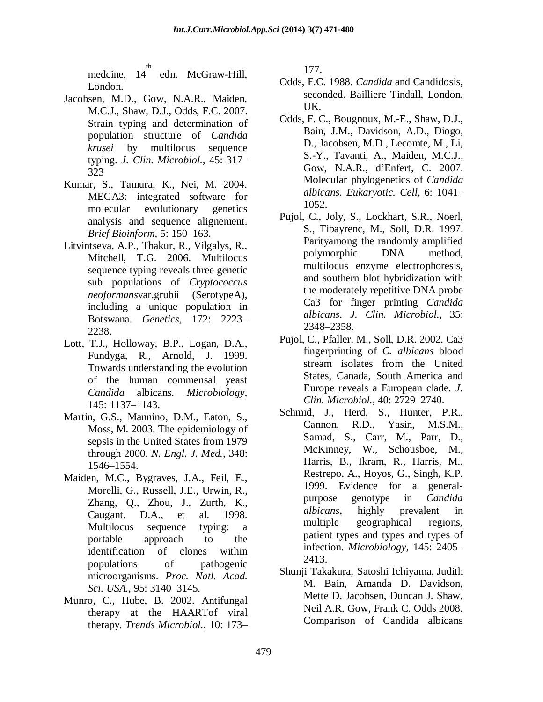medcine, 14<sup>th</sup> th edn. McGraw-Hill, London.

- Jacobsen, M.D., Gow, N.A.R., Maiden, M.C.J., Shaw, D.J., Odds, F.C. 2007. Strain typing and determination of population structure of *Candida krusei* by multilocus sequence typing. *J. Clin. Microbiol.,* 45: 317– 323
- Kumar, S., Tamura, K., Nei, M. 2004. MEGA3: integrated software for molecular evolutionary genetics analysis and sequence alignement. *Brief Bioinform,* 5: 150–163.
- Litvintseva, A.P., Thakur, R., Vilgalys, R., Mitchell, T.G. 2006. Multilocus sequence typing reveals three genetic sub populations of *Cryptococcus neoformans*var.grubii (SerotypeA), including a unique population in Botswana. *Genetics,* 172: 2223– 2238.
- Lott, T.J., Holloway, B.P., Logan, D.A., Fundyga, R., Arnold, J. 1999. Towards understanding the evolution of the human commensal yeast *Candida* albicans. *Microbiology,* 145: 1137–1143.
- Martin, G.S., Mannino, D.M., Eaton, S., Moss, M. 2003. The epidemiology of sepsis in the United States from 1979 through 2000. *N. Engl. J. Med.,* 348: 1546–1554.
- Maiden, M.C., Bygraves, J.A., Feil, E., Morelli, G., Russell, J.E., Urwin, R., Zhang, Q., Zhou, J., Zurth, K., Caugant, D.A., et al. 1998. Multilocus sequence typing: a portable approach to the identification of clones within populations of pathogenic microorganisms. *Proc. Natl. Acad. Sci. USA.,* 95: 3140–3145.
- Munro, C., Hube, B. 2002. Antifungal therapy at the HAARTof viral therapy. *Trends Microbiol.,* 10: 173–

177.

- Odds, F.C. 1988. *Candida* and Candidosis, seconded. Bailliere Tindall, London, UK.
- Odds, F. C., Bougnoux, M.-E., Shaw, D.J., Bain, J.M., Davidson, A.D., Diogo, D., Jacobsen, M.D., Lecomte, M., Li, S.-Y., Tavanti, A., Maiden, M.C.J., Gow, N.A.R., d'Enfert, C. 2007. Molecular phylogenetics of *Candida albicans. Eukaryotic. Cell,* 6: 1041– 1052.
- Pujol, C., Joly, S., Lockhart, S.R., Noerl, S., Tibayrenc, M., Soll, D.R. 1997. Parityamong the randomly amplified polymorphic DNA method, multilocus enzyme electrophoresis, and southern blot hybridization with the moderately repetitive DNA probe Ca3 for finger printing *Candida albicans*. *J. Clin. Microbiol.*, 35: 2348–2358.
- Pujol, C., Pfaller, M., Soll, D.R. 2002. Ca3 fingerprinting of *C. albicans* blood stream isolates from the United States, Canada, South America and Europe reveals a European clade. *J. Clin. Microbiol.,* 40: 2729–2740.
- Schmid, J., Herd, S., Hunter, P.R., Cannon, R.D., Yasin, M.S.M., Samad, S., Carr, M., Parr, D., McKinney, W., Schousboe, M., Harris, B., Ikram, R., Harris, M., Restrepo, A., Hoyos, G., Singh, K.P. 1999. Evidence for a generalpurpose genotype in *Candida albicans*, highly prevalent in multiple geographical regions, patient types and types and types of infection. *Microbiology,* 145: 2405– 2413.
- Shunji [Takakura,](http://www.sciencedirect.com/science/article/pii/S1438422107001865) Satoshi [Ichiyama,](http://www.sciencedirect.com/science/article/pii/S1438422107001865) [Judith](http://www.sciencedirect.com/science/article/pii/S1438422107001865) M. [Bain,](http://www.sciencedirect.com/science/article/pii/S1438422107001865) Amanda D. [Davidson,](http://www.sciencedirect.com/science/article/pii/S1438422107001865) Mette D. [Jacobsen, Duncan](http://www.sciencedirect.com/science/article/pii/S1438422107001865) J. Shaw, Neil A.R. [Gow,](http://www.sciencedirect.com/science/article/pii/S1438422107001865) [Frank](http://www.sciencedirect.com/science/article/pii/S1438422107001865) C. Odds 2008. Comparison of Candida albicans